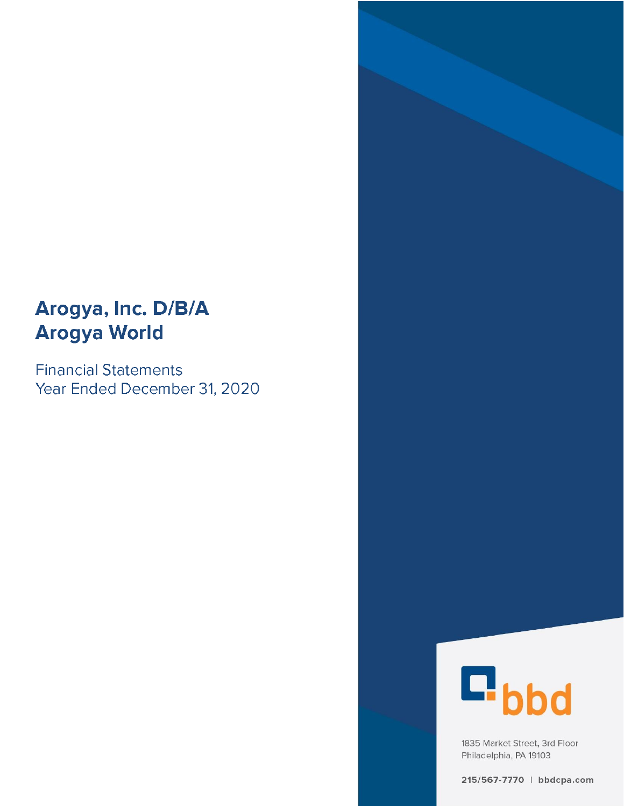# Arogya, Inc. D/B/A **Arogya World**

**Financial Statements** Year Ended December 31, 2020



1835 Market Street, 3rd Floor Philadelphia, PA 19103

215/567-7770 | bbdcpa.com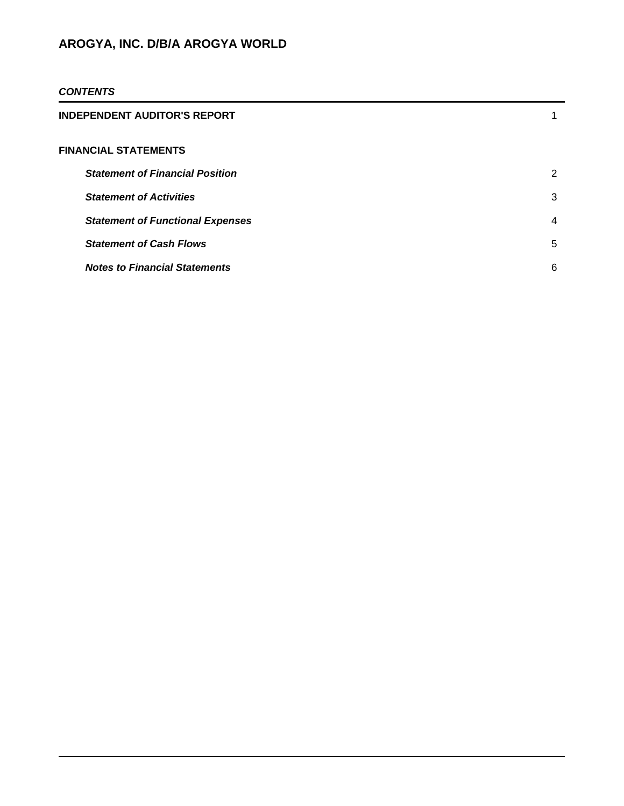# *CONTENTS*

| INDEPENDENT AUDITOR'S REPORT            |                |
|-----------------------------------------|----------------|
| FINANCIAL STATEMENTS                    |                |
| <b>Statement of Financial Position</b>  | 2              |
| <b>Statement of Activities</b>          | 3              |
| <b>Statement of Functional Expenses</b> | $\overline{4}$ |
| <b>Statement of Cash Flows</b>          | 5              |
| <b>Notes to Financial Statements</b>    | 6              |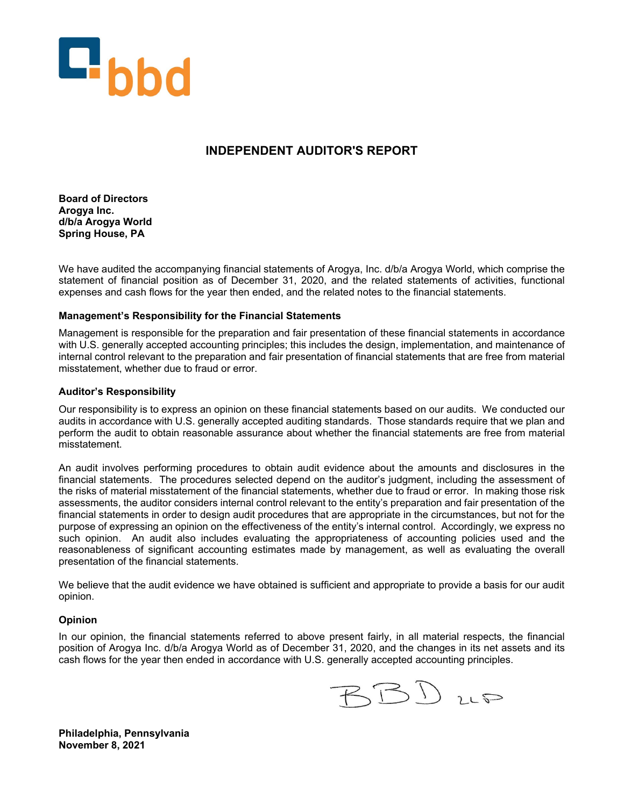

# **INDEPENDENT AUDITOR'S REPORT**

**Board of Directors Arogya Inc. d/b/a Arogya World Spring House, PA** 

We have audited the accompanying financial statements of Arogya, Inc. d/b/a Arogya World, which comprise the statement of financial position as of December 31, 2020, and the related statements of activities, functional expenses and cash flows for the year then ended, and the related notes to the financial statements.

### **Management's Responsibility for the Financial Statements**

Management is responsible for the preparation and fair presentation of these financial statements in accordance with U.S. generally accepted accounting principles; this includes the design, implementation, and maintenance of internal control relevant to the preparation and fair presentation of financial statements that are free from material misstatement, whether due to fraud or error.

### **Auditor's Responsibility**

Our responsibility is to express an opinion on these financial statements based on our audits. We conducted our audits in accordance with U.S. generally accepted auditing standards. Those standards require that we plan and perform the audit to obtain reasonable assurance about whether the financial statements are free from material misstatement.

An audit involves performing procedures to obtain audit evidence about the amounts and disclosures in the financial statements. The procedures selected depend on the auditor's judgment, including the assessment of the risks of material misstatement of the financial statements, whether due to fraud or error. In making those risk assessments, the auditor considers internal control relevant to the entity's preparation and fair presentation of the financial statements in order to design audit procedures that are appropriate in the circumstances, but not for the purpose of expressing an opinion on the effectiveness of the entity's internal control. Accordingly, we express no such opinion. An audit also includes evaluating the appropriateness of accounting policies used and the reasonableness of significant accounting estimates made by management, as well as evaluating the overall presentation of the financial statements.

We believe that the audit evidence we have obtained is sufficient and appropriate to provide a basis for our audit opinion.

#### **Opinion**

In our opinion, the financial statements referred to above present fairly, in all material respects, the financial position of Arogya Inc. d/b/a Arogya World as of December 31, 2020, and the changes in its net assets and its cash flows for the year then ended in accordance with U.S. generally accepted accounting principles.

BBD 25

**Philadelphia, Pennsylvania November 8, 2021**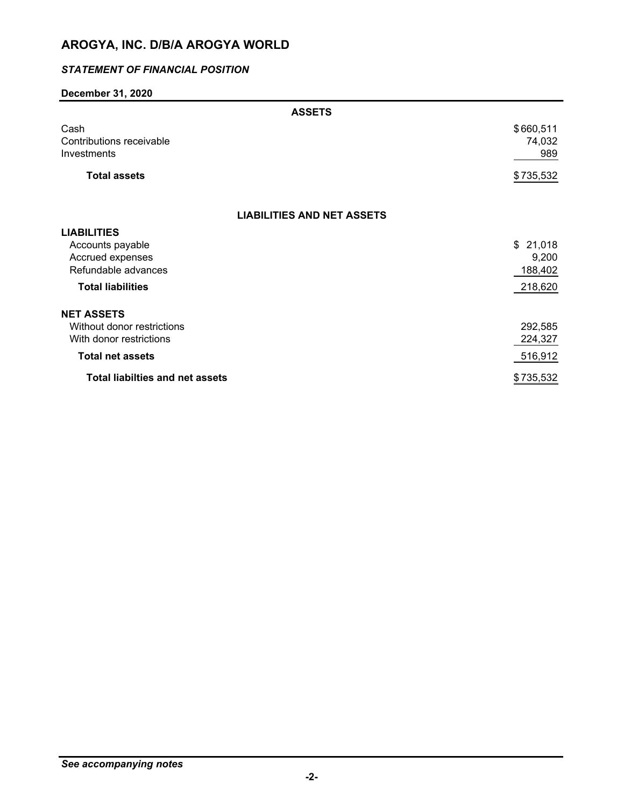# *STATEMENT OF FINANCIAL POSITION*

# **December 31, 2020**

| <b>ASSETS</b>                                   |                            |
|-------------------------------------------------|----------------------------|
| Cash<br>Contributions receivable<br>Investments | \$660,511<br>74,032<br>989 |
| <b>Total assets</b>                             | \$735,532                  |
| <b>LIABILITIES AND NET ASSETS</b>               |                            |
| <b>LIABILITIES</b>                              |                            |
| Accounts payable                                | \$21,018                   |
| Accrued expenses                                | 9,200                      |
| Refundable advances                             | 188,402                    |
| <b>Total liabilities</b>                        | 218,620                    |
| <b>NET ASSETS</b>                               |                            |
| Without donor restrictions                      | 292,585                    |
| With donor restrictions                         | 224,327                    |
| <b>Total net assets</b>                         | 516,912                    |
| <b>Total liabilties and net assets</b>          | \$735,532                  |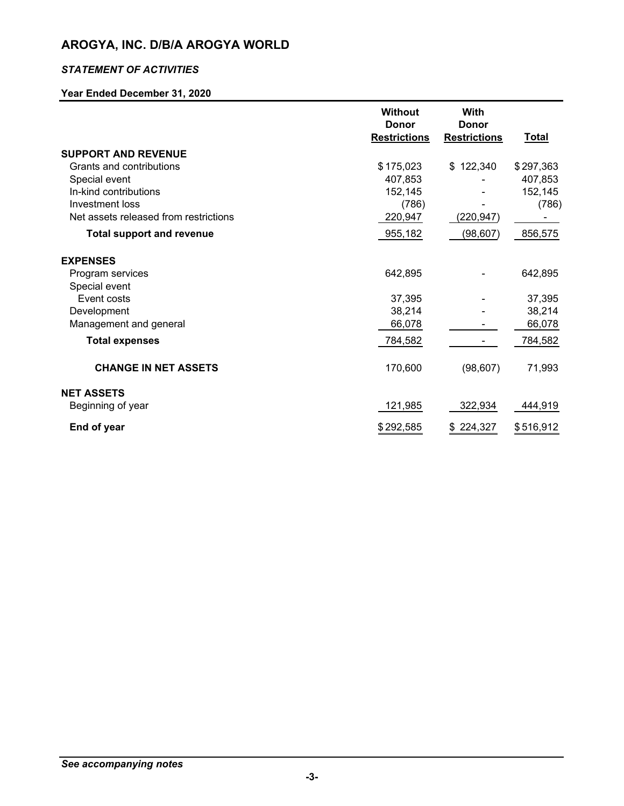# *STATEMENT OF ACTIVITIES*

# **Year Ended December 31, 2020**

|                                       | <b>Without</b><br><b>Donor</b><br><b>Restrictions</b> | With<br><b>Donor</b><br><b>Restrictions</b> | <b>Total</b> |
|---------------------------------------|-------------------------------------------------------|---------------------------------------------|--------------|
| <b>SUPPORT AND REVENUE</b>            |                                                       |                                             |              |
| Grants and contributions              | \$175,023                                             | \$122,340                                   | \$297,363    |
| Special event                         | 407,853                                               |                                             | 407,853      |
| In-kind contributions                 | 152,145                                               |                                             | 152,145      |
| Investment loss                       | (786)                                                 |                                             | (786)        |
| Net assets released from restrictions | 220,947                                               | (220, 947)                                  |              |
| <b>Total support and revenue</b>      | 955,182                                               | (98,607)                                    | 856,575      |
| <b>EXPENSES</b>                       |                                                       |                                             |              |
| Program services                      | 642,895                                               |                                             | 642,895      |
| Special event                         |                                                       |                                             |              |
| Event costs                           | 37,395                                                |                                             | 37,395       |
| Development                           | 38,214                                                |                                             | 38,214       |
| Management and general                | 66,078                                                |                                             | 66,078       |
| <b>Total expenses</b>                 | 784,582                                               |                                             | 784,582      |
| <b>CHANGE IN NET ASSETS</b>           | 170,600                                               | (98, 607)                                   | 71,993       |
| <b>NET ASSETS</b>                     |                                                       |                                             |              |
| Beginning of year                     | 121,985                                               | 322,934                                     | 444,919      |
| End of year                           | \$292,585                                             | \$224,327                                   | \$516,912    |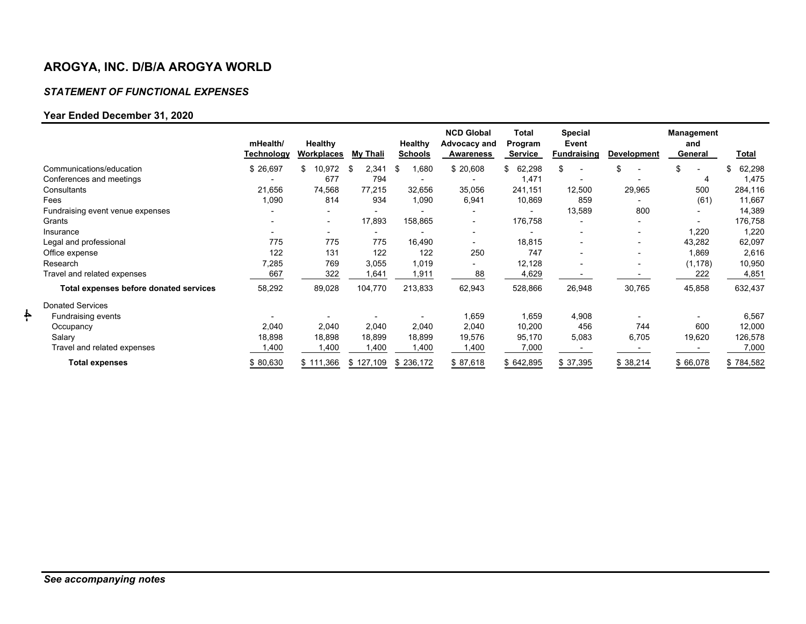#### *STATEMENT OF FUNCTIONAL EXPENSES*

# **Year Ended December 31, 2020**

|                                        | mHealth/<br>Technology | <b>Healthy</b><br><u>Workplaces</u> | <b>My Thali</b> | Healthy<br><b>Schools</b> | <b>NCD Global</b><br>Advocacy and<br><b>Awareness</b> | Total<br>Program<br><b>Service</b> | <b>Special</b><br>Event<br><u>Fundraising</u> | <b>Development</b>       | <b>Management</b><br>and<br><b>General</b> | <u>Total</u> |
|----------------------------------------|------------------------|-------------------------------------|-----------------|---------------------------|-------------------------------------------------------|------------------------------------|-----------------------------------------------|--------------------------|--------------------------------------------|--------------|
| Communications/education               | \$26,697               | 0,972<br>\$                         | 2,341<br>\$     | 1,680<br>\$               | \$20,608                                              | 62,298<br>\$                       | \$                                            | \$                       |                                            | 62,298       |
| Conferences and meetings               |                        | 677                                 | 794             |                           |                                                       | 1,471                              | $\overline{\phantom{0}}$                      |                          | 4                                          | 1,475        |
| Consultants                            | 21,656                 | 74,568                              | 77,215          | 32,656                    | 35,056                                                | 241,151                            | 12,500                                        | 29,965                   | 500                                        | 284,116      |
| Fees                                   | 1,090                  | 814                                 | 934             | 1,090                     | 6,941                                                 | 10,869                             | 859                                           |                          | (61)                                       | 11,667       |
| Fundraising event venue expenses       |                        |                                     |                 |                           |                                                       |                                    | 13,589                                        | 800                      |                                            | 14,389       |
| Grants                                 |                        | $\sim$                              | 17,893          | 158,865                   | $\overline{\phantom{a}}$                              | 176,758                            |                                               |                          |                                            | 176,758      |
| Insurance                              |                        |                                     | $\blacksquare$  |                           | $\overline{\phantom{a}}$                              |                                    | $\overline{\phantom{0}}$                      | $\overline{\phantom{a}}$ | 1,220                                      | 1,220        |
| Legal and professional                 | 775                    | 775                                 | 775             | 16,490                    |                                                       | 18,815                             | $\overline{\phantom{0}}$                      |                          | 43,282                                     | 62,097       |
| Office expense                         | 122                    | 131                                 | 122             | 122                       | 250                                                   | 747                                |                                               |                          | 1,869                                      | 2,616        |
| Research                               | 7,285                  | 769                                 | 3,055           | 1,019                     |                                                       | 12,128                             |                                               |                          | (1, 178)                                   | 10,950       |
| Travel and related expenses            | 667                    | 322                                 | 1,641           | 1,911                     | 88                                                    | 4,629                              |                                               |                          | 222                                        | 4,851        |
| Total expenses before donated services | 58,292                 | 89,028                              | 104,770         | 213,833                   | 62,943                                                | 528,866                            | 26,948                                        | 30,765                   | 45,858                                     | 632,437      |
| <b>Donated Services</b>                |                        |                                     |                 |                           |                                                       |                                    |                                               |                          |                                            |              |
| <b>Fundraising events</b>              |                        |                                     |                 |                           | 1,659                                                 | 1,659                              | 4,908                                         |                          |                                            | 6,567        |
| Occupancy                              | 2,040                  | 2,040                               | 2,040           | 2,040                     | 2,040                                                 | 10,200                             | 456                                           | 744                      | 600                                        | 12,000       |
| Salary                                 | 18,898                 | 18,898                              | 18,899          | 18,899                    | 19,576                                                | 95,170                             | 5,083                                         | 6,705                    | 19,620                                     | 126,578      |
| Travel and related expenses            | 1,400                  | 1,400                               | 1,400           | 1,400                     | 1,400                                                 | 7,000                              |                                               |                          |                                            | 7,000        |
| <b>Total expenses</b>                  | \$80,630               | \$111,366                           | \$127,109       | \$236,172                 | \$87,618                                              | \$642,895                          | \$37,395                                      | \$38,214                 | \$66,078                                   | \$784,582    |

**-4-**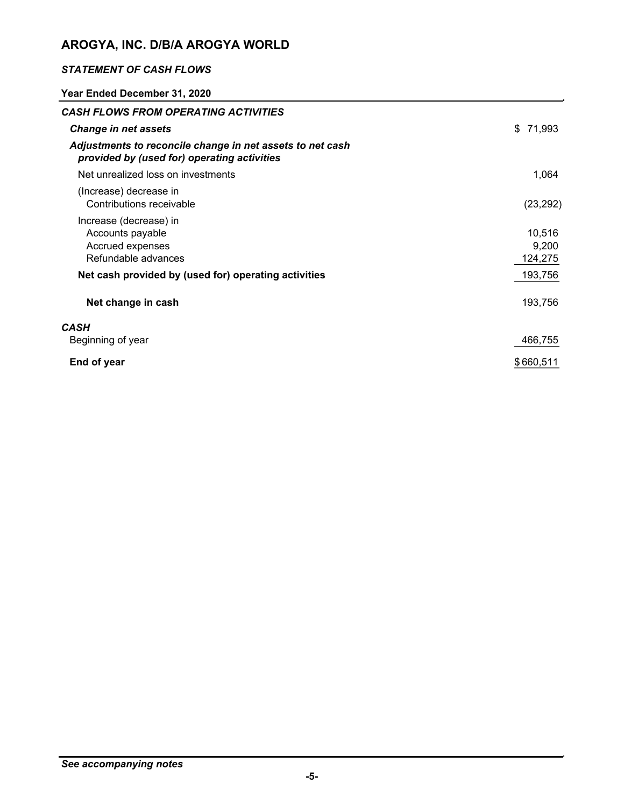# *STATEMENT OF CASH FLOWS*

| Year Ended December 31, 2020                                                                             |                            |
|----------------------------------------------------------------------------------------------------------|----------------------------|
| <b>CASH FLOWS FROM OPERATING ACTIVITIES</b>                                                              |                            |
| Change in net assets                                                                                     | \$<br>71,993               |
| Adjustments to reconcile change in net assets to net cash<br>provided by (used for) operating activities |                            |
| Net unrealized loss on investments                                                                       | 1,064                      |
| (Increase) decrease in<br>Contributions receivable                                                       | (23, 292)                  |
| Increase (decrease) in<br>Accounts payable<br>Accrued expenses<br>Refundable advances                    | 10,516<br>9,200<br>124,275 |
| Net cash provided by (used for) operating activities                                                     | 193,756                    |
| Net change in cash                                                                                       | 193,756                    |
| <b>CASH</b><br>Beginning of year                                                                         | 466,755                    |
| End of year                                                                                              | \$660,511                  |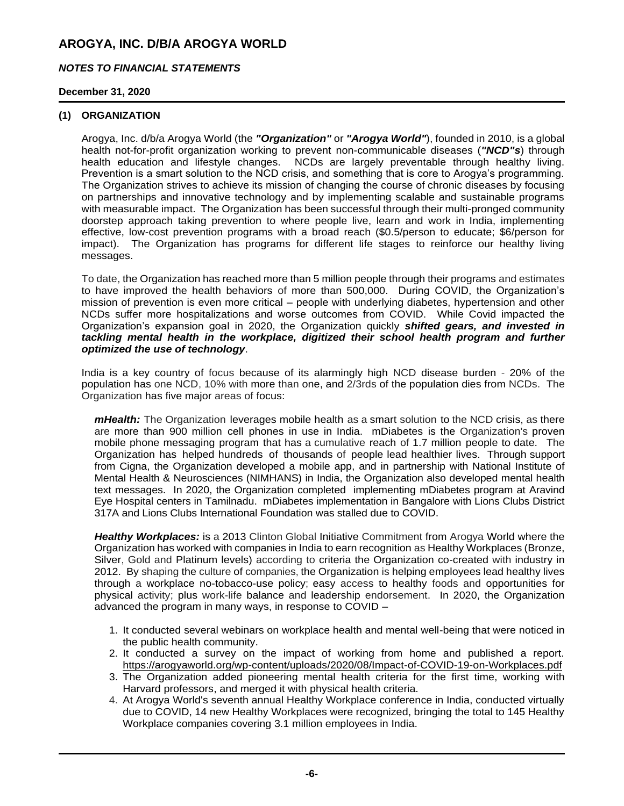### *NOTES TO FINANCIAL STATEMENTS*

#### **December 31, 2020**

#### **(1) ORGANIZATION**

Arogya, Inc. d/b/a Arogya World (the *"Organization"* or *"Arogya World"*), founded in 2010, is a global health not-for-profit organization working to prevent non-communicable diseases (*"NCD"s*) through health education and lifestyle changes. NCDs are largely preventable through healthy living. Prevention is a smart solution to the NCD crisis, and something that is core to Arogya's programming. The Organization strives to achieve its mission of changing the course of chronic diseases by focusing on partnerships and innovative technology and by implementing scalable and sustainable programs with measurable impact. The Organization has been successful through their multi-pronged community doorstep approach taking prevention to where people live, learn and work in India, implementing effective, low-cost prevention programs with a broad reach (\$0.5/person to educate; \$6/person for impact). The Organization has programs for different life stages to reinforce our healthy living messages.

To date, the Organization has reached more than 5 million people through their programs and estimates to have improved the health behaviors of more than 500,000. During COVID, the Organization's mission of prevention is even more critical – people with underlying diabetes, hypertension and other NCDs suffer more hospitalizations and worse outcomes from COVID. While Covid impacted the Organization's expansion goal in 2020, the Organization quickly *shifted gears, and invested in tackling mental health in the workplace, digitized their school health program and further optimized the use of technology*.

India is a key country of focus because of its alarmingly high NCD disease burden - 20% of the population has one NCD, 10% with more than one, and 2/3rds of the population dies from NCDs. The Organization has five major areas of focus:

*mHealth:* The Organization leverages mobile health as a smart solution to the NCD crisis, as there are more than 900 million cell phones in use in India. mDiabetes is the Organization's proven mobile phone messaging program that has a cumulative reach of 1.7 million people to date. The Organization has helped hundreds of thousands of people lead healthier lives. Through support from Cigna, the Organization developed a mobile app, and in partnership with National Institute of Mental Health & Neurosciences (NIMHANS) in India, the Organization also developed mental health text messages. In 2020, the Organization completed implementing mDiabetes program at Aravind Eye Hospital centers in Tamilnadu. mDiabetes implementation in Bangalore with Lions Clubs District 317A and Lions Clubs International Foundation was stalled due to COVID.

*Healthy Workplaces:* is a 2013 Clinton Global Initiative Commitment from Arogya World where the Organization has worked with companies in India to earn recognition as Healthy Workplaces (Bronze, Silver, Gold and Platinum levels) according to criteria the Organization co-created with industry in 2012. By shaping the culture of companies, the Organization is helping employees lead healthy lives through a workplace no-tobacco-use policy; easy access to healthy foods and opportunities for physical activity; plus work-life balance and leadership endorsement. In 2020, the Organization advanced the program in many ways, in response to COVID –

- 1. It conducted several webinars on workplace health and mental well-being that were noticed in the public health community.
- 2. It conducted a survey on the impact of working from home and published a report. https://arogyaworld.org/wp-content/uploads/2020/08/Impact-of-COVID-19-on-Workplaces.pdf
- 3. The Organization added pioneering mental health criteria for the first time, working with Harvard professors, and merged it with physical health criteria.
- 4. At Arogya World's seventh annual Healthy Workplace conference in India, conducted virtually due to COVID, 14 new Healthy Workplaces were recognized, bringing the total to 145 Healthy Workplace companies covering 3.1 million employees in India.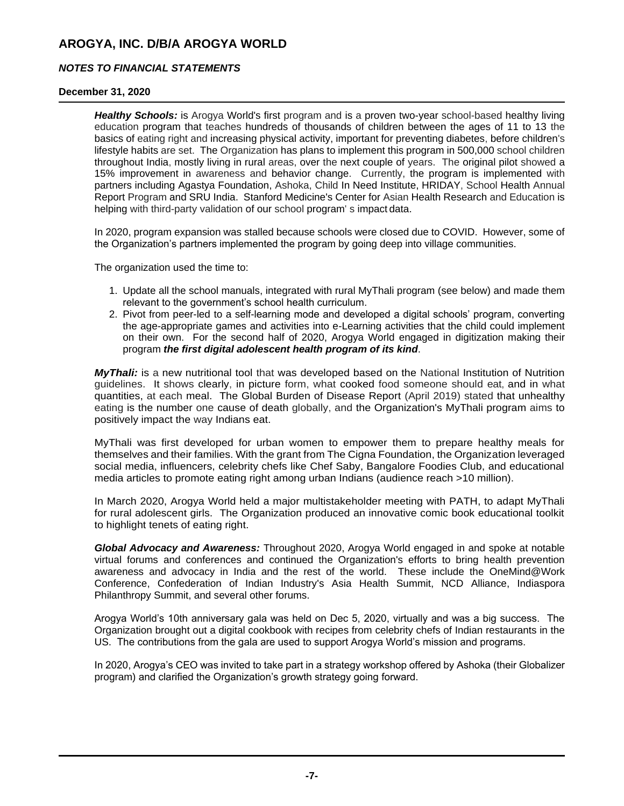# *NOTES TO FINANCIAL STATEMENTS*

### **December 31, 2020**

*Healthy Schools:* is Arogya World's first program and is a proven two-year school-based healthy living education program that teaches hundreds of thousands of children between the ages of 11 to 13 the basics of eating right and increasing physical activity, important for preventing diabetes, before children's lifestyle habits are set. The Organization has plans to implement this program in 500,000 school children throughout India, mostly living in rural areas, over the next couple of years. The original pilot showed a 15% improvement in awareness and behavior change. Currently, the program is implemented with partners including Agastya Foundation, Ashoka, Child In Need Institute, HRIDAY, School Health Annual Report Program and SRU India. Stanford Medicine's Center for Asian Health Research and Education is helping with third-party validation of our school program' s impact data.

In 2020, program expansion was stalled because schools were closed due to COVID. However, some of the Organization's partners implemented the program by going deep into village communities.

The organization used the time to:

- 1. Update all the school manuals, integrated with rural MyThali program (see below) and made them relevant to the government's school health curriculum.
- 2. Pivot from peer-led to a self-learning mode and developed a digital schools' program, converting the age-appropriate games and activities into e-Learning activities that the child could implement on their own. For the second half of 2020, Arogya World engaged in digitization making their program *the first digital adolescent health program of its kind*.

*MyThali:* is a new nutritional tool that was developed based on the National Institution of Nutrition guidelines. It shows clearly, in picture form, what cooked food someone should eat, and in what quantities, at each meal. The Global Burden of Disease Report (April 2019) stated that unhealthy eating is the number one cause of death globally, and the Organization's MyThali program aims to positively impact the way Indians eat.

MyThali was first developed for urban women to empower them to prepare healthy meals for themselves and their families. With the grant from The Cigna Foundation, the Organization leveraged social media, influencers, celebrity chefs like Chef Saby, Bangalore Foodies Club, and educational media articles to promote eating right among urban Indians (audience reach >10 million).

In March 2020, Arogya World held a major multistakeholder meeting with PATH, to adapt MyThali for rural adolescent girls. The Organization produced an innovative comic book educational toolkit to highlight tenets of eating right.

*Global Advocacy and Awareness:* Throughout 2020, Arogya World engaged in and spoke at notable virtual forums and conferences and continued the Organization's efforts to bring health prevention awareness and advocacy in India and the rest of the world. These include the OneMind@Work Conference, Confederation of Indian Industry's Asia Health Summit, NCD Alliance, Indiaspora Philanthropy Summit, and several other forums.

Arogya World's 10th anniversary gala was held on Dec 5, 2020, virtually and was a big success. The Organization brought out a digital cookbook with recipes from celebrity chefs of Indian restaurants in the US. The contributions from the gala are used to support Arogya World's mission and programs.

In 2020, Arogya's CEO was invited to take part in a strategy workshop offered by Ashoka (their Globalizer program) and clarified the Organization's growth strategy going forward.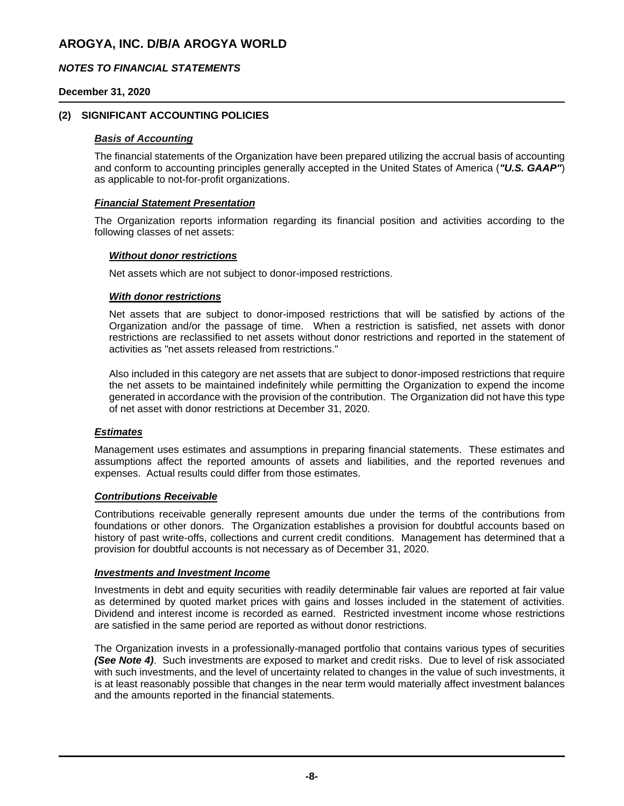# *NOTES TO FINANCIAL STATEMENTS*

#### **December 31, 2020**

### **(2) SIGNIFICANT ACCOUNTING POLICIES**

#### *Basis of Accounting*

The financial statements of the Organization have been prepared utilizing the accrual basis of accounting and conform to accounting principles generally accepted in the United States of America (*"U.S. GAAP"*) as applicable to not-for-profit organizations.

#### *Financial Statement Presentation*

The Organization reports information regarding its financial position and activities according to the following classes of net assets:

#### *Without donor restrictions*

Net assets which are not subject to donor-imposed restrictions.

#### *With donor restrictions*

Net assets that are subject to donor-imposed restrictions that will be satisfied by actions of the Organization and/or the passage of time. When a restriction is satisfied, net assets with donor restrictions are reclassified to net assets without donor restrictions and reported in the statement of activities as "net assets released from restrictions."

Also included in this category are net assets that are subject to donor-imposed restrictions that require the net assets to be maintained indefinitely while permitting the Organization to expend the income generated in accordance with the provision of the contribution. The Organization did not have this type of net asset with donor restrictions at December 31, 2020.

#### *Estimates*

Management uses estimates and assumptions in preparing financial statements. These estimates and assumptions affect the reported amounts of assets and liabilities, and the reported revenues and expenses. Actual results could differ from those estimates.

#### *Contributions Receivable*

Contributions receivable generally represent amounts due under the terms of the contributions from foundations or other donors. The Organization establishes a provision for doubtful accounts based on history of past write-offs, collections and current credit conditions. Management has determined that a provision for doubtful accounts is not necessary as of December 31, 2020.

#### *Investments and Investment Income*

Investments in debt and equity securities with readily determinable fair values are reported at fair value as determined by quoted market prices with gains and losses included in the statement of activities. Dividend and interest income is recorded as earned. Restricted investment income whose restrictions are satisfied in the same period are reported as without donor restrictions.

The Organization invests in a professionally-managed portfolio that contains various types of securities *(See Note 4)*. Such investments are exposed to market and credit risks. Due to level of risk associated with such investments, and the level of uncertainty related to changes in the value of such investments, it is at least reasonably possible that changes in the near term would materially affect investment balances and the amounts reported in the financial statements.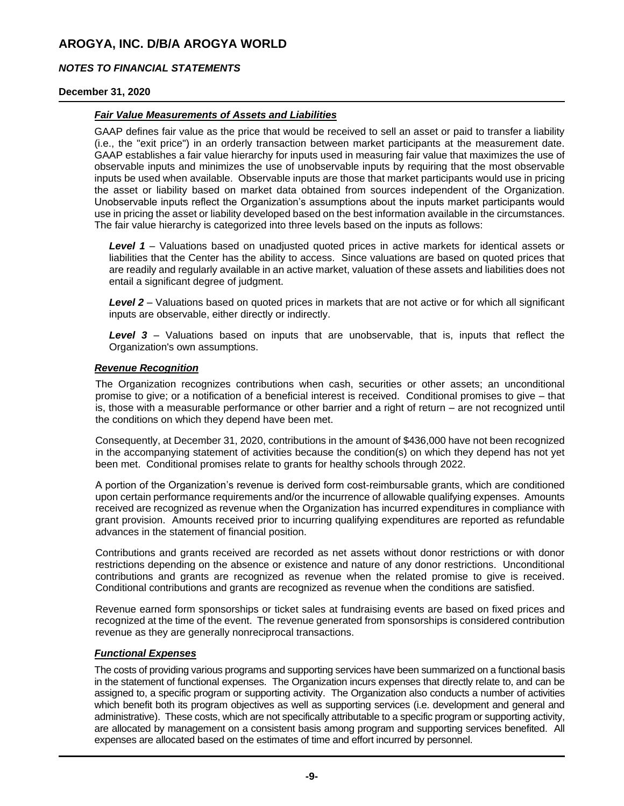# *NOTES TO FINANCIAL STATEMENTS*

### **December 31, 2020**

# *Fair Value Measurements of Assets and Liabilities*

GAAP defines fair value as the price that would be received to sell an asset or paid to transfer a liability (i.e., the "exit price") in an orderly transaction between market participants at the measurement date. GAAP establishes a fair value hierarchy for inputs used in measuring fair value that maximizes the use of observable inputs and minimizes the use of unobservable inputs by requiring that the most observable inputs be used when available. Observable inputs are those that market participants would use in pricing the asset or liability based on market data obtained from sources independent of the Organization. Unobservable inputs reflect the Organization's assumptions about the inputs market participants would use in pricing the asset or liability developed based on the best information available in the circumstances. The fair value hierarchy is categorized into three levels based on the inputs as follows:

*Level 1* – Valuations based on unadjusted quoted prices in active markets for identical assets or liabilities that the Center has the ability to access. Since valuations are based on quoted prices that are readily and regularly available in an active market, valuation of these assets and liabilities does not entail a significant degree of judgment.

**Level 2** – Valuations based on quoted prices in markets that are not active or for which all significant inputs are observable, either directly or indirectly.

*Level 3* – Valuations based on inputs that are unobservable, that is, inputs that reflect the Organization's own assumptions.

### *Revenue Recognition*

The Organization recognizes contributions when cash, securities or other assets; an unconditional promise to give; or a notification of a beneficial interest is received. Conditional promises to give – that is, those with a measurable performance or other barrier and a right of return – are not recognized until the conditions on which they depend have been met.

Consequently, at December 31, 2020, contributions in the amount of \$436,000 have not been recognized in the accompanying statement of activities because the condition(s) on which they depend has not yet been met. Conditional promises relate to grants for healthy schools through 2022.

A portion of the Organization's revenue is derived form cost-reimbursable grants, which are conditioned upon certain performance requirements and/or the incurrence of allowable qualifying expenses. Amounts received are recognized as revenue when the Organization has incurred expenditures in compliance with grant provision. Amounts received prior to incurring qualifying expenditures are reported as refundable advances in the statement of financial position.

Contributions and grants received are recorded as net assets without donor restrictions or with donor restrictions depending on the absence or existence and nature of any donor restrictions. Unconditional contributions and grants are recognized as revenue when the related promise to give is received. Conditional contributions and grants are recognized as revenue when the conditions are satisfied.

Revenue earned form sponsorships or ticket sales at fundraising events are based on fixed prices and recognized at the time of the event. The revenue generated from sponsorships is considered contribution revenue as they are generally nonreciprocal transactions.

### *Functional Expenses*

The costs of providing various programs and supporting services have been summarized on a functional basis in the statement of functional expenses. The Organization incurs expenses that directly relate to, and can be assigned to, a specific program or supporting activity. The Organization also conducts a number of activities which benefit both its program objectives as well as supporting services (i.e. development and general and administrative). These costs, which are not specifically attributable to a specific program or supporting activity, are allocated by management on a consistent basis among program and supporting services benefited. All expenses are allocated based on the estimates of time and effort incurred by personnel.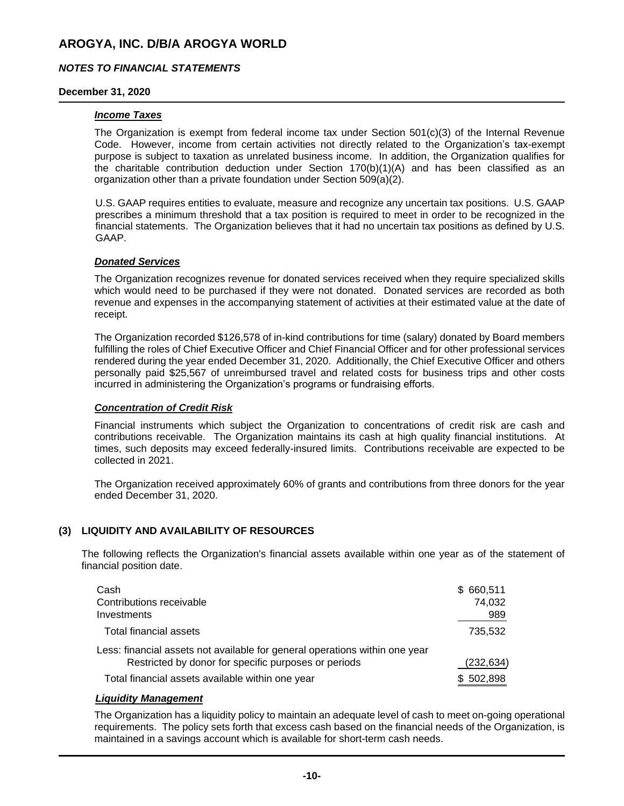# *NOTES TO FINANCIAL STATEMENTS*

### **December 31, 2020**

#### *Income Taxes*

The Organization is exempt from federal income tax under Section 501(c)(3) of the Internal Revenue Code. However, income from certain activities not directly related to the Organization's tax-exempt purpose is subject to taxation as unrelated business income. In addition, the Organization qualifies for the charitable contribution deduction under Section  $170(b)(1)(A)$  and has been classified as an organization other than a private foundation under Section 509(a)(2).

U.S. GAAP requires entities to evaluate, measure and recognize any uncertain tax positions. U.S. GAAP prescribes a minimum threshold that a tax position is required to meet in order to be recognized in the financial statements. The Organization believes that it had no uncertain tax positions as defined by U.S. GAAP.

### *Donated Services*

The Organization recognizes revenue for donated services received when they require specialized skills which would need to be purchased if they were not donated. Donated services are recorded as both revenue and expenses in the accompanying statement of activities at their estimated value at the date of receipt.

The Organization recorded \$126,578 of in-kind contributions for time (salary) donated by Board members fulfilling the roles of Chief Executive Officer and Chief Financial Officer and for other professional services rendered during the year ended December 31, 2020. Additionally, the Chief Executive Officer and others personally paid \$25,567 of unreimbursed travel and related costs for business trips and other costs incurred in administering the Organization's programs or fundraising efforts.

#### *Concentration of Credit Risk*

Financial instruments which subject the Organization to concentrations of credit risk are cash and contributions receivable. The Organization maintains its cash at high quality financial institutions. At times, such deposits may exceed federally-insured limits. Contributions receivable are expected to be collected in 2021.

The Organization received approximately 60% of grants and contributions from three donors for the year ended December 31, 2020.

### **(3) LIQUIDITY AND AVAILABILITY OF RESOURCES**

The following reflects the Organization's financial assets available within one year as of the statement of financial position date.

| Cash                                                                        | \$660,511  |
|-----------------------------------------------------------------------------|------------|
| Contributions receivable                                                    | 74,032     |
| Investments                                                                 | 989        |
| Total financial assets                                                      | 735.532    |
| Less: financial assets not available for general operations within one year |            |
| Restricted by donor for specific purposes or periods                        | (232, 634) |
| Total financial assets available within one year                            | \$502,898  |

#### *Liquidity Management*

The Organization has a liquidity policy to maintain an adequate level of cash to meet on-going operational requirements. The policy sets forth that excess cash based on the financial needs of the Organization, is maintained in a savings account which is available for short-term cash needs.